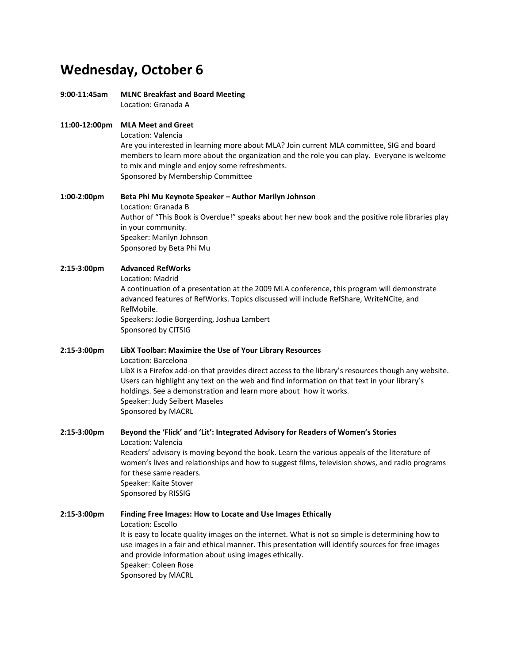## **Wednesday, October 6**

**9:00-11:45am MLNC Breakfast and Board Meeting**

Location: Granada A

## **11:00-12:00pm MLA Meet and Greet**

Location: Valencia

Are you interested in learning more about MLA? Join current MLA committee, SIG and board members to learn more about the organization and the role you can play. Everyone is welcome to mix and mingle and enjoy some refreshments. Sponsored by Membership Committee

**1:00-2:00pm Beta Phi Mu Keynote Speaker – Author Marilyn Johnson** Location: Granada B Author of "This Book is Overdue!" speaks about her new book and the positive role libraries play in your community. Speaker: Marilyn Johnson Sponsored by Beta Phi Mu

## **2:15-3:00pm Advanced RefWorks**

Location: Madrid

A continuation of a presentation at the 2009 MLA conference, this program will demonstrate advanced features of RefWorks. Topics discussed will include RefShare, WriteNCite, and RefMobile. Speakers: Jodie Borgerding, Joshua Lambert

Sponsored by CITSIG

#### **2:15-3:00pm LibX Toolbar: Maximize the Use of Your Library Resources**

Location: Barcelona

LibX is a Firefox add-on that provides direct access to the library's resources though any website. Users can highlight any text on the web and find information on that text in your library's holdings. See a demonstration and learn more about how it works. Speaker: Judy Seibert Maseles Sponsored by MACRL

**2:15-3:00pm Beyond the 'Flick' and 'Lit': Integrated Advisory for Readers of Women's Stories** Location: Valencia Readers' advisory is moving beyond the book. Learn the various appeals of the literature of women's lives and relationships and how to suggest films, television shows, and radio programs for these same readers. Speaker: Kaite Stover Sponsored by RISSIG

**2:15-3:00pm Finding Free Images: How to Locate and Use Images Ethically** Location: Escollo It is easy to locate quality images on the internet. What is not so simple is determining how to use images in a fair and ethical manner. This presentation will identify sources for free images and provide information about using images ethically. Speaker: Coleen Rose Sponsored by MACRL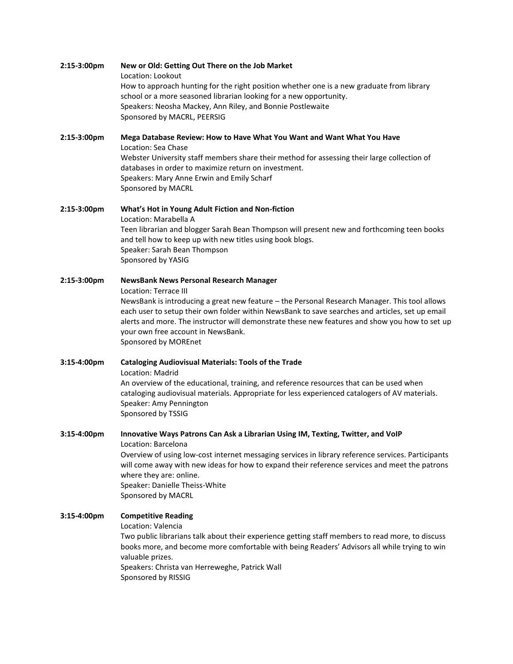## **2:15-3:00pm New or Old: Getting Out There on the Job Market** Location: Lookout How to approach hunting for the right position whether one is a new graduate from library school or a more seasoned librarian looking for a new opportunity. Speakers: Neosha Mackey, Ann Riley, and Bonnie Postlewaite Sponsored by MACRL, PEERSIG **2:15-3:00pm Mega Database Review: How to Have What You Want and Want What You Have** Location: Sea Chase Webster University staff members share their method for assessing their large collection of databases in order to maximize return on investment. Speakers: Mary Anne Erwin and Emily Scharf Sponsored by MACRL **2:15-3:00pm What's Hot in Young Adult Fiction and Non-fiction** Location: Marabella A Teen librarian and blogger Sarah Bean Thompson will present new and forthcoming teen books and tell how to keep up with new titles using book blogs. Speaker: Sarah Bean Thompson Sponsored by YASIG **2:15-3:00pm NewsBank News Personal Research Manager** Location: Terrace III NewsBank is introducing a great new feature – the Personal Research Manager. This tool allows each user to setup their own folder within NewsBank to save searches and articles, set up email alerts and more. The instructor will demonstrate these new features and show you how to set up your own free account in NewsBank. Sponsored by MOREnet **3:15-4:00pm Cataloging Audiovisual Materials: Tools of the Trade** Location: Madrid An overview of the educational, training, and reference resources that can be used when cataloging audiovisual materials. Appropriate for less experienced catalogers of AV materials. Speaker: Amy Pennington

Sponsored by TSSIG

**3:15-4:00pm Innovative Ways Patrons Can Ask a Librarian Using IM, Texting, Twitter, and VoIP** Location: Barcelona Overview of using low-cost internet messaging services in library reference services. Participants will come away with new ideas for how to expand their reference services and meet the patrons where they are: online. Speaker: Danielle Theiss-White Sponsored by MACRL

## **3:15-4:00pm Competitive Reading**

Location: Valencia

Two public librarians talk about their experience getting staff members to read more, to discuss books more, and become more comfortable with being Readers' Advisors all while trying to win valuable prizes.

Speakers: Christa van Herreweghe, Patrick Wall Sponsored by RISSIG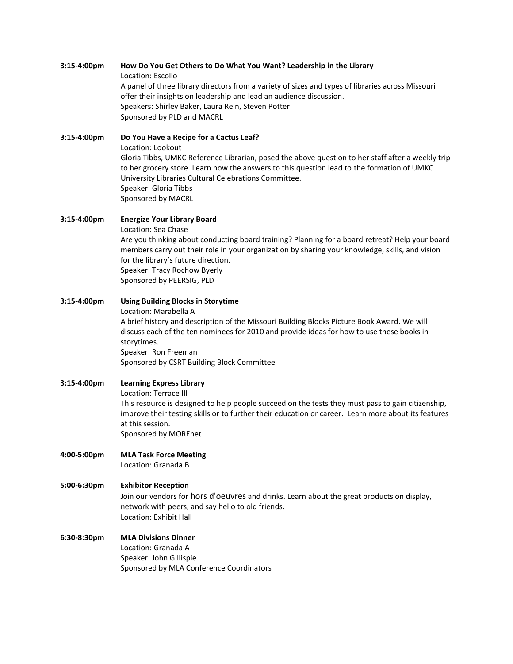## **3:15-4:00pm How Do You Get Others to Do What You Want? Leadership in the Library** Location: Escollo A panel of three library directors from a variety of sizes and types of libraries across Missouri offer their insights on leadership and lead an audience discussion. Speakers: Shirley Baker, Laura Rein, Steven Potter Sponsored by PLD and MACRL

**3:15-4:00pm Do You Have a Recipe for a Cactus Leaf?** Location: Lookout Gloria Tibbs, UMKC Reference Librarian, posed the above question to her staff after a weekly trip to her grocery store. Learn how the answers to this question lead to the formation of UMKC University Libraries Cultural Celebrations Committee. Speaker: Gloria Tibbs Sponsored by MACRL

- **3:15-4:00pm Energize Your Library Board** Location: Sea Chase Are you thinking about conducting board training? Planning for a board retreat? Help your board members carry out their role in your organization by sharing your knowledge, skills, and vision for the library's future direction. Speaker: Tracy Rochow Byerly Sponsored by PEERSIG, PLD
- **3:15-4:00pm Using Building Blocks in Storytime** Location: Marabella A A brief history and description of the Missouri Building Blocks Picture Book Award. We will discuss each of the ten nominees for 2010 and provide ideas for how to use these books in storytimes. Speaker: Ron Freeman Sponsored by CSRT Building Block Committee
- **3:15-4:00pm Learning Express Library** Location: Terrace III This resource is designed to help people succeed on the tests they must pass to gain citizenship, improve their testing skills or to further their education or career. Learn more about its features at this session. Sponsored by MOREnet
- **4:00-5:00pm MLA Task Force Meeting** Location: Granada B

## **5:00-6:30pm Exhibitor Reception**

Join our vendors for hors d'oeuvres and drinks. Learn about the great products on display, network with peers, and say hello to old friends. Location: Exhibit Hall

**6:30-8:30pm MLA Divisions Dinner** Location: Granada A Speaker: John Gillispie Sponsored by MLA Conference Coordinators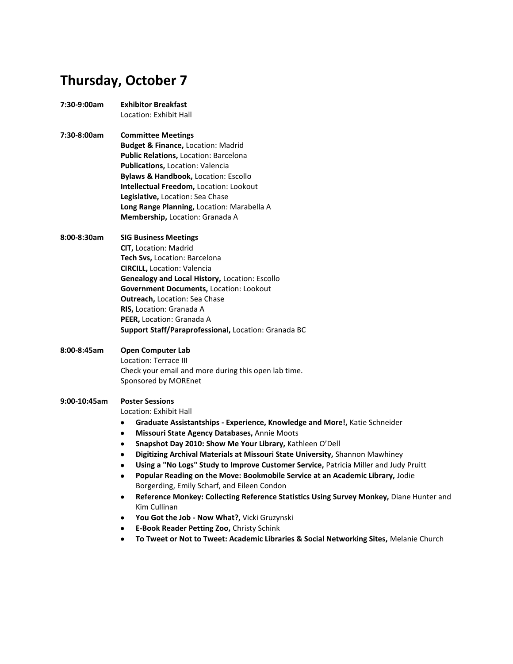# **Thursday, October 7**

- **7:30-9:00am Exhibitor Breakfast** Location: Exhibit Hall
- **7:30-8:00am Committee Meetings Budget & Finance,** Location: Madrid **Public Relations,** Location: Barcelona **Publications,** Location: Valencia **Bylaws & Handbook,** Location: Escollo **Intellectual Freedom,** Location: Lookout **Legislative,** Location: Sea Chase **Long Range Planning,** Location: Marabella A **Membership,** Location: Granada A
- **8:00-8:30am SIG Business Meetings CIT,** Location: Madrid **Tech Svs,** Location: Barcelona **CIRCILL,** Location: Valencia **Genealogy and Local History,** Location: Escollo **Government Documents,** Location: Lookout **Outreach,** Location: Sea Chase **RIS,** Location: Granada A **PEER,** Location: Granada A **Support Staff/Paraprofessional,** Location: Granada BC
- **8:00-8:45am Open Computer Lab** Location: Terrace III Check your email and more during this open lab time. Sponsored by MOREnet

## **9:00-10:45am Poster Sessions**

Location: Exhibit Hall

- $\bullet$ **Graduate Assistantships - Experience, Knowledge and More!,** Katie Schneider
- **Missouri State Agency Databases,** Annie Moots  $\bullet$
- $\bullet$ **Snapshot Day 2010: Show Me Your Library,** Kathleen O'Dell
- $\bullet$ **Digitizing Archival Materials at Missouri State University,** Shannon Mawhiney
- **Using a "No Logs" Study to Improve Customer Service,** Patricia Miller and Judy Pruitt
- **Popular Reading on the Move: Bookmobile Service at an Academic Library,** Jodie Borgerding, Emily Scharf, and Eileen Condon
- **Reference Monkey: Collecting Reference Statistics Using Survey Monkey,** Diane Hunter and Kim Cullinan
- $\bullet$ **You Got the Job - Now What?,** Vicki Gruzynski
- **E-Book Reader Petting Zoo,** Christy Schink  $\bullet$
- **To Tweet or Not to Tweet: Academic Libraries & Social Networking Sites,** Melanie Church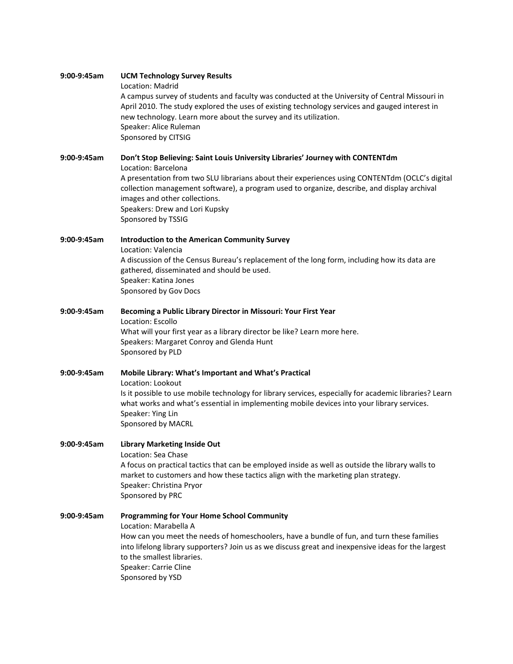| 9:00-9:45am | <b>UCM Technology Survey Results</b><br>Location: Madrid<br>A campus survey of students and faculty was conducted at the University of Central Missouri in<br>April 2010. The study explored the uses of existing technology services and gauged interest in<br>new technology. Learn more about the survey and its utilization.<br>Speaker: Alice Ruleman<br>Sponsored by CITSIG               |
|-------------|-------------------------------------------------------------------------------------------------------------------------------------------------------------------------------------------------------------------------------------------------------------------------------------------------------------------------------------------------------------------------------------------------|
| 9:00-9:45am | Don't Stop Believing: Saint Louis University Libraries' Journey with CONTENTdm<br>Location: Barcelona<br>A presentation from two SLU librarians about their experiences using CONTENTdm (OCLC's digital<br>collection management software), a program used to organize, describe, and display archival<br>images and other collections.<br>Speakers: Drew and Lori Kupsky<br>Sponsored by TSSIG |
| 9:00-9:45am | <b>Introduction to the American Community Survey</b><br>Location: Valencia<br>A discussion of the Census Bureau's replacement of the long form, including how its data are<br>gathered, disseminated and should be used.<br>Speaker: Katina Jones<br>Sponsored by Gov Docs                                                                                                                      |
| 9:00-9:45am | Becoming a Public Library Director in Missouri: Your First Year<br>Location: Escollo<br>What will your first year as a library director be like? Learn more here.<br>Speakers: Margaret Conroy and Glenda Hunt<br>Sponsored by PLD                                                                                                                                                              |
| 9:00-9:45am | Mobile Library: What's Important and What's Practical<br>Location: Lookout<br>Is it possible to use mobile technology for library services, especially for academic libraries? Learn<br>what works and what's essential in implementing mobile devices into your library services.<br>Speaker: Ying Lin<br>Sponsored by MACRL                                                                   |
| 9:00-9:45am | <b>Library Marketing Inside Out</b><br>Location: Sea Chase<br>A focus on practical tactics that can be employed inside as well as outside the library walls to<br>market to customers and how these tactics align with the marketing plan strategy.<br>Speaker: Christina Pryor<br>Sponsored by PRC                                                                                             |
| 9:00-9:45am | <b>Programming for Your Home School Community</b><br>Location: Marabella A<br>How can you meet the needs of homeschoolers, have a bundle of fun, and turn these families<br>into lifelong library supporters? Join us as we discuss great and inexpensive ideas for the largest<br>to the smallest libraries.<br>Speaker: Carrie Cline<br>Sponsored by YSD                                      |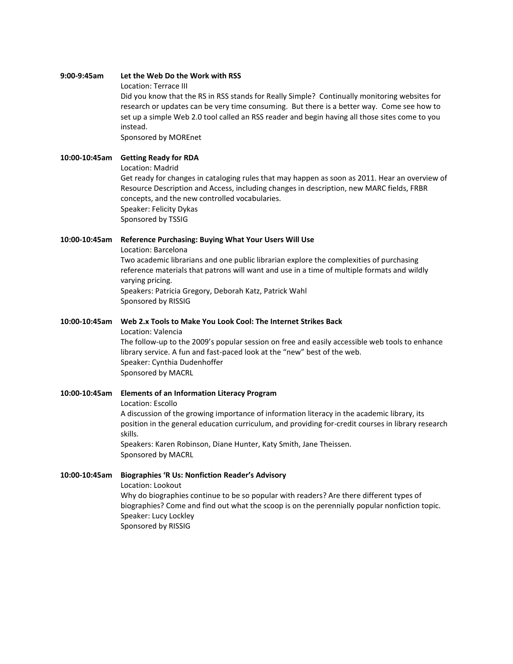#### **9:00-9:45am Let the Web Do the Work with RSS**

Location: Terrace III

Did you know that the RS in RSS stands for Really Simple? Continually monitoring websites for research or updates can be very time consuming. But there is a better way. Come see how to set up a simple Web 2.0 tool called an RSS reader and begin having all those sites come to you instead.

Sponsored by MOREnet

## **10:00-10:45am Getting Ready for RDA**

Location: Madrid

Get ready for changes in cataloging rules that may happen as soon as 2011. Hear an overview of Resource Description and Access, including changes in description, new MARC fields, FRBR concepts, and the new controlled vocabularies. Speaker: Felicity Dykas Sponsored by TSSIG

#### **10:00-10:45am Reference Purchasing: Buying What Your Users Will Use**

Location: Barcelona

Two academic librarians and one public librarian explore the complexities of purchasing reference materials that patrons will want and use in a time of multiple formats and wildly varying pricing. Speakers: Patricia Gregory, Deborah Katz, Patrick Wahl Sponsored by RISSIG

#### **10:00-10:45am Web 2.x Tools to Make You Look Cool: The Internet Strikes Back**

Location: Valencia The follow-up to the 2009's popular session on free and easily accessible web tools to enhance library service. A fun and fast-paced look at the "new" best of the web. Speaker: Cynthia Dudenhoffer Sponsored by MACRL

**10:00-10:45am Elements of an Information Literacy Program** Location: Escollo A discussion of the growing importance of information literacy in the academic library, its position in the general education curriculum, and providing for-credit courses in library research skills. Speakers: Karen Robinson, Diane Hunter, Katy Smith, Jane Theissen. Sponsored by MACRL

**10:00-10:45am Biographies 'R Us: Nonfiction Reader's Advisory** Location: Lookout Why do biographies continue to be so popular with readers? Are there different types of biographies? Come and find out what the scoop is on the perennially popular nonfiction topic. Speaker: Lucy Lockley Sponsored by RISSIG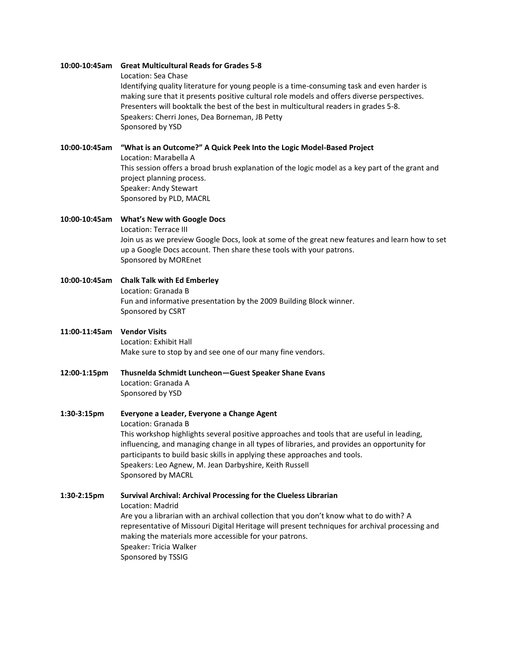#### **10:00-10:45am Great Multicultural Reads for Grades 5-8**

Location: Sea Chase

Identifying quality literature for young people is a time-consuming task and even harder is making sure that it presents positive cultural role models and offers diverse perspectives. Presenters will booktalk the best of the best in multicultural readers in grades 5-8. Speakers: Cherri Jones, Dea Borneman, JB Petty Sponsored by YSD

#### **10:00-10:45am "What is an Outcome?" A Quick Peek Into the Logic Model-Based Project**

Location: Marabella A This session offers a broad brush explanation of the logic model as a key part of the grant and project planning process. Speaker: Andy Stewart Sponsored by PLD, MACRL

- **10:00-10:45am What's New with Google Docs** Location: Terrace III Join us as we preview Google Docs, look at some of the great new features and learn how to set up a Google Docs account. Then share these tools with your patrons. Sponsored by MOREnet
- **10:00-10:45am Chalk Talk with Ed Emberley** Location: Granada B Fun and informative presentation by the 2009 Building Block winner. Sponsored by CSRT
- **11:00-11:45am Vendor Visits** Location: Exhibit Hall Make sure to stop by and see one of our many fine vendors.
- **12:00-1:15pm Thusnelda Schmidt Luncheon—Guest Speaker Shane Evans** Location: Granada A Sponsored by YSD
- **1:30-3:15pm Everyone a Leader, Everyone a Change Agent** Location: Granada B This workshop highlights several positive approaches and tools that are useful in leading, influencing, and managing change in all types of libraries, and provides an opportunity for participants to build basic skills in applying these approaches and tools. Speakers: Leo Agnew, M. Jean Darbyshire, Keith Russell Sponsored by MACRL

**1:30-2:15pm Survival Archival: Archival Processing for the Clueless Librarian** Location: Madrid Are you a librarian with an archival collection that you don't know what to do with? A representative of Missouri Digital Heritage will present techniques for archival processing and making the materials more accessible for your patrons. Speaker: Tricia Walker Sponsored by TSSIG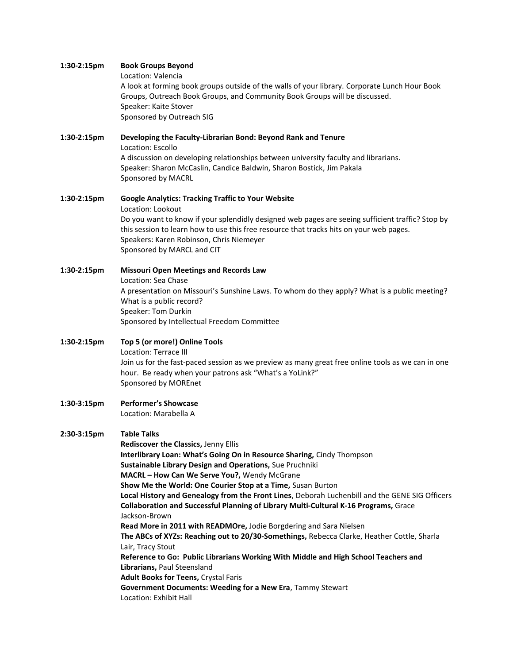#### **1:30-2:15pm Book Groups Beyond**

Location: Valencia

A look at forming book groups outside of the walls of your library. Corporate Lunch Hour Book Groups, Outreach Book Groups, and Community Book Groups will be discussed. Speaker: Kaite Stover Sponsored by Outreach SIG

## **1:30-2:15pm Developing the Faculty-Librarian Bond: Beyond Rank and Tenure** Location: Escollo A discussion on developing relationships between university faculty and librarians. Speaker: Sharon McCaslin, Candice Baldwin, Sharon Bostick, Jim Pakala Sponsored by MACRL

## **1:30-2:15pm Google Analytics: Tracking Traffic to Your Website** Location: Lookout Do you want to know if your splendidly designed web pages are seeing sufficient traffic? Stop by this session to learn how to use this free resource that tracks hits on your web pages. Speakers: Karen Robinson, Chris Niemeyer Sponsored by MARCL and CIT

## **1:30-2:15pm Missouri Open Meetings and Records Law** Location: Sea Chase A presentation on Missouri's Sunshine Laws. To whom do they apply? What is a public meeting? What is a public record? Speaker: Tom Durkin Sponsored by Intellectual Freedom Committee

## **1:30-2:15pm Top 5 (or more!) Online Tools** Location: Terrace III Join us for the fast-paced session as we preview as many great free online tools as we can in one hour. Be ready when your patrons ask "What's a YoLink?" Sponsored by MOREnet

#### **1:30-3:15pm Performer's Showcase** Location: Marabella A

## **2:30-3:15pm Table Talks**

**Rediscover the Classics,** Jenny Ellis **Interlibrary Loan: What's Going On in Resource Sharing,** Cindy Thompson **Sustainable Library Design and Operations,** Sue Pruchniki **MACRL – How Can We Serve You?,** Wendy McGrane **Show Me the World: One Courier Stop at a Time,** Susan Burton **Local History and Genealogy from the Front Lines**, Deborah Luchenbill and the GENE SIG Officers **Collaboration and Successful Planning of Library Multi-Cultural K-16 Programs,** Grace Jackson-Brown **Read More in 2011 with READMOre,** Jodie Borgdering and Sara Nielsen **The ABCs of XYZs: Reaching out to 20/30-Somethings,** Rebecca Clarke, Heather Cottle, Sharla Lair, Tracy Stout **Reference to Go: Public Librarians Working With Middle and High School Teachers and Librarians,** Paul Steensland **Adult Books for Teens,** Crystal Faris **Government Documents: Weeding for a New Era**, Tammy Stewart Location: Exhibit Hall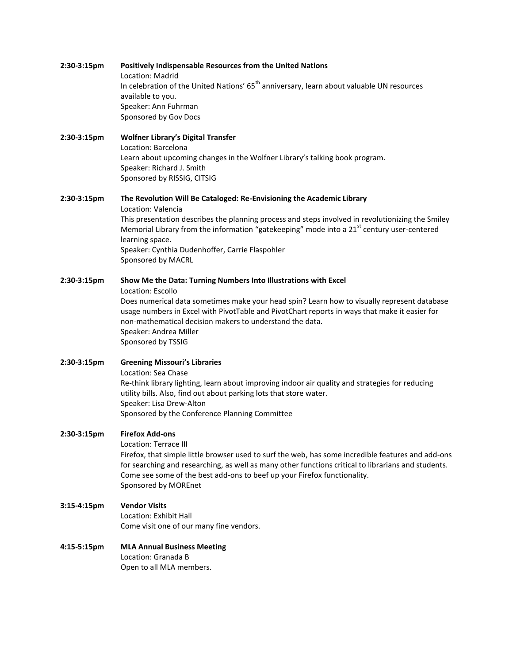## **2:30-3:15pm Positively Indispensable Resources from the United Nations** Location: Madrid In celebration of the United Nations'  $65<sup>th</sup>$  anniversary, learn about valuable UN resources available to you. Speaker: Ann Fuhrman Sponsored by Gov Docs

## **2:30-3:15pm Wolfner Library's Digital Transfer** Location: Barcelona Learn about upcoming changes in the Wolfner Library's talking book program. Speaker: Richard J. Smith Sponsored by RISSIG, CITSIG

#### **2:30-3:15pm The Revolution Will Be Cataloged: Re-Envisioning the Academic Library**

Location: Valencia This presentation describes the planning process and steps involved in revolutionizing the Smiley Memorial Library from the information "gatekeeping" mode into a  $21<sup>st</sup>$  century user-centered learning space. Speaker: Cynthia Dudenhoffer, Carrie Flaspohler Sponsored by MACRL

#### **2:30-3:15pm Show Me the Data: Turning Numbers Into Illustrations with Excel**

Location: Escollo

Does numerical data sometimes make your head spin? Learn how to visually represent database usage numbers in Excel with PivotTable and PivotChart reports in ways that make it easier for non-mathematical decision makers to understand the data. Speaker: Andrea Miller Sponsored by TSSIG

## **2:30-3:15pm Greening Missouri's Libraries** Location: Sea Chase Re-think library lighting, learn about improving indoor air quality and strategies for reducing utility bills. Also, find out about parking lots that store water. Speaker: Lisa Drew-Alton Sponsored by the Conference Planning Committee

## **2:30-3:15pm Firefox Add-ons**

Location: Terrace III Firefox, that simple little browser used to surf the web, has some incredible features and add-ons for searching and researching, as well as many other functions critical to librarians and students. Come see some of the best add-ons to beef up your Firefox functionality. Sponsored by MOREnet

## **3:15-4:15pm Vendor Visits**

Location: Exhibit Hall Come visit one of our many fine vendors.

#### **4:15-5:15pm MLA Annual Business Meeting** Location: Granada B

Open to all MLA members.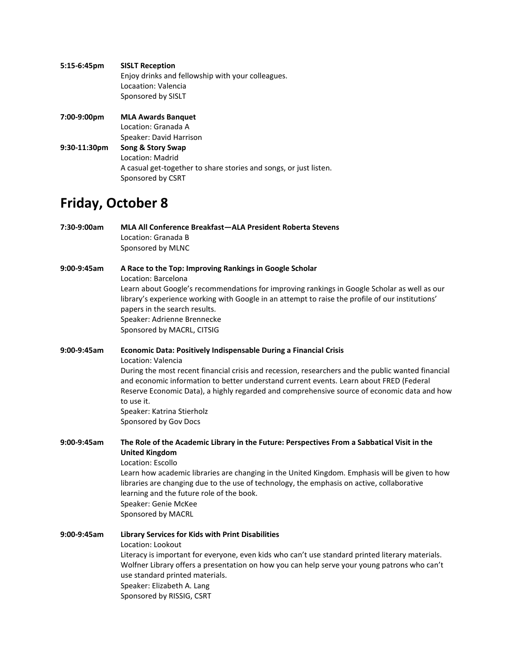| $5:15-6:45$ pm  | <b>SISLT Reception</b>                                            |
|-----------------|-------------------------------------------------------------------|
|                 | Enjoy drinks and fellowship with your colleagues.                 |
|                 | Locaation: Valencia                                               |
|                 | Sponsored by SISLT                                                |
| 7:00-9:00pm     | <b>MLA Awards Banquet</b>                                         |
|                 | Location: Granada A                                               |
|                 | Speaker: David Harrison                                           |
| $9:30-11:30$ pm | Song & Story Swap                                                 |
|                 | Location: Madrid                                                  |
|                 | A casual get-together to share stories and songs, or just listen. |
|                 | Sponsored by CSRT                                                 |

# **Friday, October 8**

| 7:30-9:00am   | MLA All Conference Breakfast-ALA President Roberta Stevens<br>Location: Granada B<br>Sponsored by MLNC                                                                                                                                                                                                                                                                                                                                                       |
|---------------|--------------------------------------------------------------------------------------------------------------------------------------------------------------------------------------------------------------------------------------------------------------------------------------------------------------------------------------------------------------------------------------------------------------------------------------------------------------|
| 9:00-9:45am   | A Race to the Top: Improving Rankings in Google Scholar<br>Location: Barcelona<br>Learn about Google's recommendations for improving rankings in Google Scholar as well as our<br>library's experience working with Google in an attempt to raise the profile of our institutions'<br>papers in the search results.<br>Speaker: Adrienne Brennecke<br>Sponsored by MACRL, CITSIG                                                                             |
| $9:00-9:45am$ | Economic Data: Positively Indispensable During a Financial Crisis<br>Location: Valencia<br>During the most recent financial crisis and recession, researchers and the public wanted financial<br>and economic information to better understand current events. Learn about FRED (Federal<br>Reserve Economic Data), a highly regarded and comprehensive source of economic data and how<br>to use it.<br>Speaker: Katrina Stierholz<br>Sponsored by Gov Docs |
| 9:00-9:45am   | The Role of the Academic Library in the Future: Perspectives From a Sabbatical Visit in the<br><b>United Kingdom</b><br>Location: Escollo<br>Learn how academic libraries are changing in the United Kingdom. Emphasis will be given to how<br>libraries are changing due to the use of technology, the emphasis on active, collaborative<br>learning and the future role of the book.<br>Speaker: Genie McKee<br>Sponsored by MACRL                         |
| 9:00-9:45am   | Library Services for Kids with Print Disabilities<br>Location: Lookout<br>Literacy is important for everyone, even kids who can't use standard printed literary materials.<br>Wolfner Library offers a presentation on how you can help serve your young patrons who can't<br>use standard printed materials.<br>Speaker: Elizabeth A. Lang<br>Sponsored by RISSIG, CSRT                                                                                     |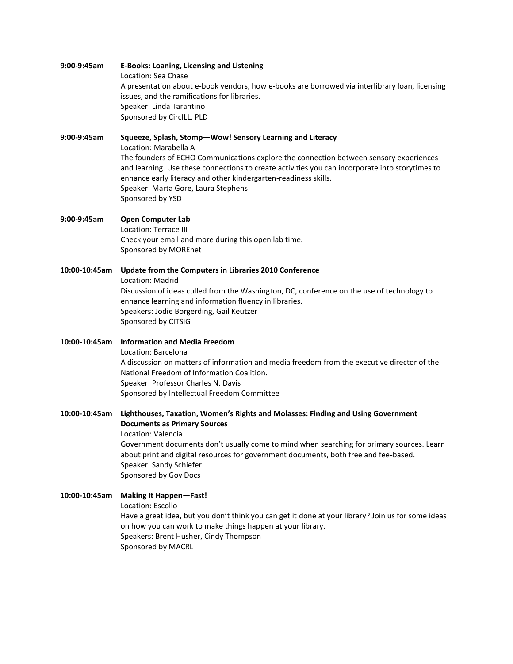| $9:00-9:45am$ | <b>E-Books: Loaning, Licensing and Listening</b><br>Location: Sea Chase<br>A presentation about e-book vendors, how e-books are borrowed via interlibrary loan, licensing<br>issues, and the ramifications for libraries.<br>Speaker: Linda Tarantino<br>Sponsored by CircILL, PLD                                                                                                                            |
|---------------|---------------------------------------------------------------------------------------------------------------------------------------------------------------------------------------------------------------------------------------------------------------------------------------------------------------------------------------------------------------------------------------------------------------|
| 9:00-9:45am   | Squeeze, Splash, Stomp-Wow! Sensory Learning and Literacy<br>Location: Marabella A<br>The founders of ECHO Communications explore the connection between sensory experiences<br>and learning. Use these connections to create activities you can incorporate into storytimes to<br>enhance early literacy and other kindergarten-readiness skills.<br>Speaker: Marta Gore, Laura Stephens<br>Sponsored by YSD |
| 9:00-9:45am   | <b>Open Computer Lab</b><br>Location: Terrace III<br>Check your email and more during this open lab time.<br>Sponsored by MOREnet                                                                                                                                                                                                                                                                             |
| 10:00-10:45am | Update from the Computers in Libraries 2010 Conference<br>Location: Madrid<br>Discussion of ideas culled from the Washington, DC, conference on the use of technology to<br>enhance learning and information fluency in libraries.<br>Speakers: Jodie Borgerding, Gail Keutzer<br>Sponsored by CITSIG                                                                                                         |
| 10:00-10:45am | <b>Information and Media Freedom</b><br>Location: Barcelona<br>A discussion on matters of information and media freedom from the executive director of the<br>National Freedom of Information Coalition.<br>Speaker: Professor Charles N. Davis<br>Sponsored by Intellectual Freedom Committee                                                                                                                |
| 10:00-10:45am | Lighthouses, Taxation, Women's Rights and Molasses: Finding and Using Government<br><b>Documents as Primary Sources</b><br>Location: Valencia<br>Government documents don't usually come to mind when searching for primary sources. Learn<br>about print and digital resources for government documents, both free and fee-based.<br>Speaker: Sandy Schiefer<br>Sponsored by Gov Docs                        |
| 10:00-10:45am | <b>Making It Happen-Fast!</b><br>Location: Escollo<br>Have a great idea, but you don't think you can get it done at your library? Join us for some ideas<br>on how you can work to make things happen at your library.<br>Speakers: Brent Husher, Cindy Thompson<br>Sponsored by MACRL                                                                                                                        |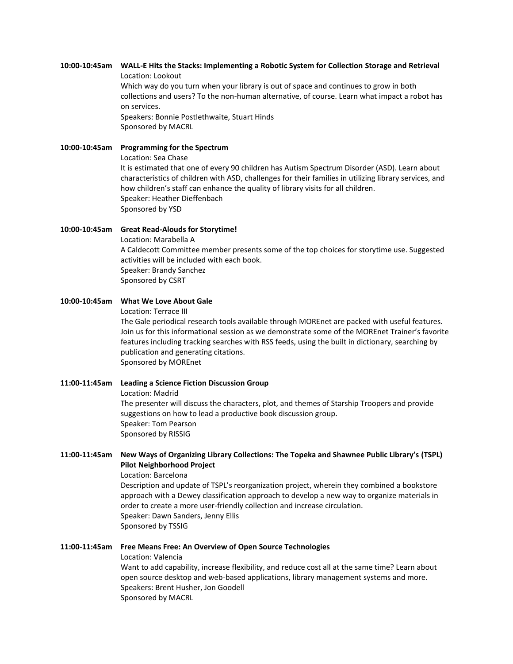#### **10:00-10:45am WALL-E Hits the Stacks: Implementing a Robotic System for Collection Storage and Retrieval** Location: Lookout

Which way do you turn when your library is out of space and continues to grow in both collections and users? To the non-human alternative, of course. Learn what impact a robot has on services. Speakers: Bonnie Postlethwaite, Stuart Hinds

Sponsored by MACRL

## **10:00-10:45am Programming for the Spectrum**

Location: Sea Chase It is estimated that one of every 90 children has Autism Spectrum Disorder (ASD). Learn about characteristics of children with ASD, challenges for their families in utilizing library services, and how children's staff can enhance the quality of library visits for all children. Speaker: Heather Dieffenbach Sponsored by YSD

## **10:00-10:45am Great Read-Alouds for Storytime!** Location: Marabella A A Caldecott Committee member presents some of the top choices for storytime use. Suggested activities will be included with each book. Speaker: Brandy Sanchez Sponsored by CSRT

#### **10:00-10:45am What We Love About Gale** Location: Terrace III

The Gale periodical research tools available through MOREnet are packed with useful features. Join us for this informational session as we demonstrate some of the MOREnet Trainer's favorite features including tracking searches with RSS feeds, using the built in dictionary, searching by publication and generating citations. Sponsored by MOREnet

## **11:00-11:45am Leading a Science Fiction Discussion Group** Location: Madrid The presenter will discuss the characters, plot, and themes of Starship Troopers and provide suggestions on how to lead a productive book discussion group. Speaker: Tom Pearson Sponsored by RISSIG

## **11:00-11:45am New Ways of Organizing Library Collections: The Topeka and Shawnee Public Library's (TSPL) Pilot Neighborhood Project**

Location: Barcelona Description and update of TSPL's reorganization project, wherein they combined a bookstore approach with a Dewey classification approach to develop a new way to organize materials in order to create a more user-friendly collection and increase circulation. Speaker: Dawn Sanders, Jenny Ellis Sponsored by TSSIG

## **11:00-11:45am Free Means Free: An Overview of Open Source Technologies**

Location: Valencia Want to add capability, increase flexibility, and reduce cost all at the same time? Learn about open source desktop and web-based applications, library management systems and more. Speakers: Brent Husher, Jon Goodell Sponsored by MACRL